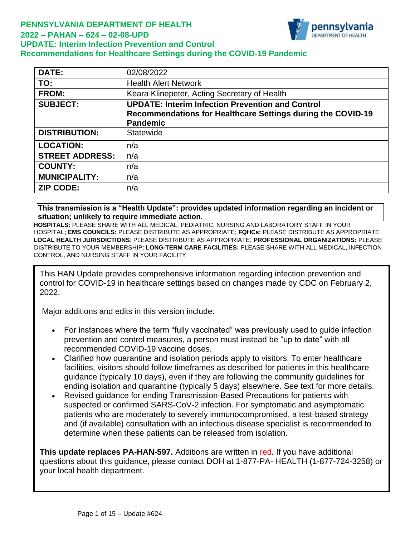### **PENNSYLVANIA DEPARTMENT OF HEALTH 2022 – PAHAN – 624 – 02-08-UPD UPDATE: Interim Infection Prevention and Control Recommendations for Healthcare Settings during the COVID-19 Pandemic**

| <b>DATE:</b>           | 02/08/2022                                                  |
|------------------------|-------------------------------------------------------------|
| TO:                    | <b>Health Alert Network</b>                                 |
| <b>FROM:</b>           | Keara Klinepeter, Acting Secretary of Health                |
| <b>SUBJECT:</b>        | <b>UPDATE: Interim Infection Prevention and Control</b>     |
|                        | Recommendations for Healthcare Settings during the COVID-19 |
|                        | <b>Pandemic</b>                                             |
| <b>DISTRIBUTION:</b>   | Statewide                                                   |
| <b>LOCATION:</b>       | n/a                                                         |
| <b>STREET ADDRESS:</b> | n/a                                                         |
| <b>COUNTY:</b>         | n/a                                                         |
| <b>MUNICIPALITY:</b>   | n/a                                                         |
| <b>ZIP CODE:</b>       | n/a                                                         |

ennsylvania

**This transmission is a "Health Update": provides updated information regarding an incident or situation; unlikely to require immediate action.**

**HOSPITALS:** PLEASE SHARE WITH ALL MEDICAL, PEDIATRIC, NURSING AND LABORATORY STAFF IN YOUR HOSPITAL**; EMS COUNCILS:** PLEASE DISTRIBUTE AS APPROPRIATE; **FQHCs:** PLEASE DISTRIBUTE AS APPROPRIATE **LOCAL HEALTH JURISDICTIONS**: PLEASE DISTRIBUTE AS APPROPRIATE; **PROFESSIONAL ORGANIZATIONS:** PLEASE DISTRIBUTE TO YOUR MEMBERSHIP; **LONG-TERM CARE FACILITIES:** PLEASE SHARE WITH ALL MEDICAL, INFECTION CONTROL, AND NURSING STAFF IN YOUR FACILITY

This HAN Update provides comprehensive information regarding infection prevention and control for COVID-19 in healthcare settings based on changes made by CDC on February 2, 2022.

Major additions and edits in this version include:

- For instances where the term "fully vaccinated" was previously used to guide infection prevention and control measures, a person must instead be "up to date" with all recommended COVID-19 vaccine doses.
- Clarified how quarantine and isolation periods apply to visitors. To enter healthcare facilities, visitors should follow timeframes as described for patients in this healthcare guidance (typically 10 days), even if they are following the community guidelines for ending isolation and quarantine (typically 5 days) elsewhere. See text for more details.
- Revised guidance for ending Transmission-Based Precautions for patients with suspected or confirmed SARS-CoV-2 infection. For symptomatic and asymptomatic patients who are moderately to severely immunocompromised, a test-based strategy and (if available) consultation with an infectious disease specialist is recommended to determine when these patients can be released from isolation.

**This update replaces PA-HAN-597.** Additions are written in red. If you have additional questions about this guidance, please contact DOH at 1-877-PA- HEALTH (1-877-724-3258) or your local health department.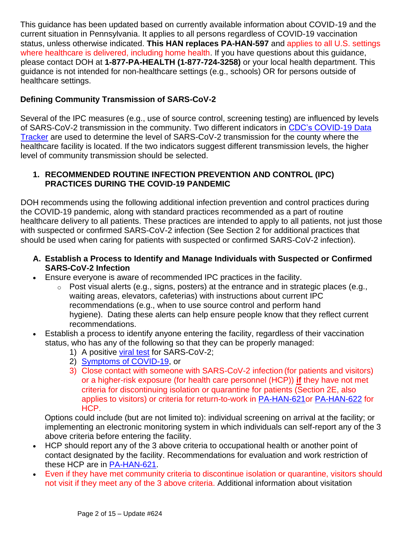This guidance has been updated based on currently available information about COVID-19 and the current situation in Pennsylvania. It applies to all persons regardless of COVID-19 vaccination status, unless otherwise indicated. **This HAN replaces PA-HAN-597** and applies to all U.S. settings where healthcare is delivered, including home health. If you have questions about this quidance, please contact DOH at **1-877-PA-HEALTH (1-877-724-3258)** or your local health department. This guidance is not intended for non-healthcare settings (e.g., schools) OR for persons outside of healthcare settings.

# **Defining Community Transmission of SARS-CoV-2**

Several of the IPC measures (e.g., use of source control, screening testing) are influenced by levels of SARS-CoV-2 transmission in the community. Two different indicators in [CDC's COVID-19 Data](https://covid.cdc.gov/covid-data-tracker/#county-view)  [Tracker](https://covid.cdc.gov/covid-data-tracker/#county-view) are used to determine the level of SARS-CoV-2 transmission for the county where the healthcare facility is located. If the two indicators suggest different transmission levels, the higher level of community transmission should be selected.

### **1. RECOMMENDED ROUTINE INFECTION PREVENTION AND CONTROL (IPC) PRACTICES DURING THE COVID-19 PANDEMIC**

DOH recommends using the following additional infection prevention and control practices during the COVID-19 pandemic, along with standard practices recommended as a part of routine healthcare delivery to all patients. These practices are intended to apply to all patients, not just those with suspected or confirmed SARS-CoV-2 infection (See Section 2 for additional practices that should be used when caring for patients with suspected or confirmed SARS-CoV-2 infection).

- **A. Establish a Process to Identify and Manage Individuals with Suspected or Confirmed SARS-CoV-2 Infection**
- Ensure everyone is aware of recommended IPC practices in the facility.
	- $\circ$  Post visual alerts (e.g., signs, posters) at the entrance and in strategic places (e.g., waiting areas, elevators, cafeterias) with instructions about current IPC recommendations (e.g., when to use source control and perform hand hygiene). Dating these alerts can help ensure people know that they reflect current recommendations.
- Establish a process to identify anyone entering the facility, regardless of their vaccination status, who has any of the following so that they can be properly managed:
	- 1) A positive [viral test](https://www.cdc.gov/coronavirus/2019-ncov/testing/diagnostic-testing.html) for SARS-CoV-2;
	- 2) Symptoms [of COVID-19,](https://www.cdc.gov/coronavirus/2019-ncov/symptoms-testing/symptoms.html) or
	- 3) Close contact with someone with SARS-CoV-2 infection (for patients and visitors) or a higher-risk exposure (for health care personnel (HCP)) **if** they have not met criteria for discontinuing isolation or quarantine for patients (Section 2E, also applies to visitors) or criteria for return-to-work in [PA-HAN-621o](https://www.health.pa.gov/topics/Documents/HAN/2022-621-01-25-UPD-HCP%20restrictions.pdf)r [PA-HAN-622](https://www.health.pa.gov/topics/Documents/HAN/2021-622-1-25-UPD-Return_Work%20HCP.pdf) for HCP.

Options could include (but are not limited to): individual screening on arrival at the facility; or implementing an electronic monitoring system in which individuals can self-report any of the 3 above criteria before entering the facility.

- HCP should report any of the 3 above criteria to occupational health or another point of contact designated by the facility. Recommendations for evaluation and work restriction of these HCP are in [PA-HAN-621.](https://www.health.pa.gov/topics/Documents/HAN/2022-621-01-25-UPD-HCP%20restrictions.pdf)
- Even if they have met community criteria to discontinue isolation or quarantine, visitors should not visit if they meet any of the 3 above criteria. Additional information about visitation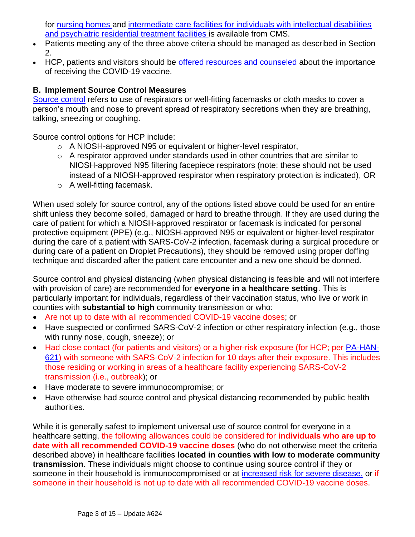for [nursing homes](https://www.cms.gov/medicareprovider-enrollment-and-certificationsurveycertificationgeninfopolicy-and-memos-states-and/nursing-home-visitation-covid-19-revised) and [intermediate care facilities for individuals with intellectual disabilities](https://www.cms.gov/files/document/qso-21-14-icf-iid-prtf.pdf)  [and psychiatric residential treatment facilities](https://www.cms.gov/files/document/qso-21-14-icf-iid-prtf.pdf) is available from CMS.

- Patients meeting any of the three above criteria should be managed as described in Section 2.
- HCP, patients and visitors should be [offered resources and counseled](https://www.cdc.gov/coronavirus/2019-ncov/vaccines/index.html) about the importance of receiving the COVID-19 vaccine.

### **B. Implement Source Control Measures**

[Source control](https://www.cdc.gov/coronavirus/2019-ncov/hcp/infection-control-recommendations.html#sourcecontrol) refers to use of respirators or well-fitting facemasks or cloth masks to cover a person's mouth and nose to prevent spread of respiratory secretions when they are breathing, talking, sneezing or coughing.

Source control options for HCP include:

- o A NIOSH-approved N95 or equivalent or higher-level respirator,
- o A respirator approved under standards used in other countries that are similar to NIOSH-approved N95 filtering facepiece respirators (note: these should not be used instead of a NIOSH-approved respirator when respiratory protection is indicated), OR
- o A well-fitting facemask.

When used solely for source control, any of the options listed above could be used for an entire shift unless they become soiled, damaged or hard to breathe through. If they are used during the care of patient for which a NIOSH-approved respirator or facemask is indicated for personal protective equipment (PPE) (e.g., NIOSH-approved N95 or equivalent or higher-level respirator during the care of a patient with SARS-CoV-2 infection, facemask during a surgical procedure or during care of a patient on Droplet Precautions), they should be removed using proper doffing technique and discarded after the patient care encounter and a new one should be donned.

Source control and physical distancing (when physical distancing is feasible and will not interfere with provision of care) are recommended for **everyone in a healthcare setting**. This is particularly important for individuals, regardless of their vaccination status, who live or work in counties with **substantial to high** community transmission or who:

- Are not up to date with all recommended COVID-19 vaccine doses; or
- Have suspected or confirmed SARS-CoV-2 infection or other respiratory infection (e.g., those with runny nose, cough, sneeze); or
- Had close contact (for patients and visitors) or a higher-risk exposure (for HCP; per [PA-HAN-](https://www.health.pa.gov/topics/Documents/HAN/2022-621-01-25-UPD-HCP%20restrictions.pdf)[621\)](https://www.health.pa.gov/topics/Documents/HAN/2022-621-01-25-UPD-HCP%20restrictions.pdf) with someone with SARS-CoV-2 infection for 10 days after their exposure. This includes those residing or working in areas of a healthcare facility experiencing SARS-CoV-2 transmission (i.e., outbreak); or
- Have moderate to severe immunocompromise; or
- Have otherwise had source control and physical distancing recommended by public health authorities.

While it is generally safest to implement universal use of source control for everyone in a healthcare setting, the following allowances could be considered for **individuals who are up to date with all recommended COVID-19 vaccine doses** (who do not otherwise meet the criteria described above) in healthcare facilities **located in counties with low to moderate community transmission**. These individuals might choose to continue using source control if they or someone in their household is immunocompromised or at [increased risk for severe disease,](https://www.cdc.gov/coronavirus/2019-ncov/need-extra-precautions/people-with-medical-conditions.html) or if someone in their household is not up to date with all recommended COVID-19 vaccine doses.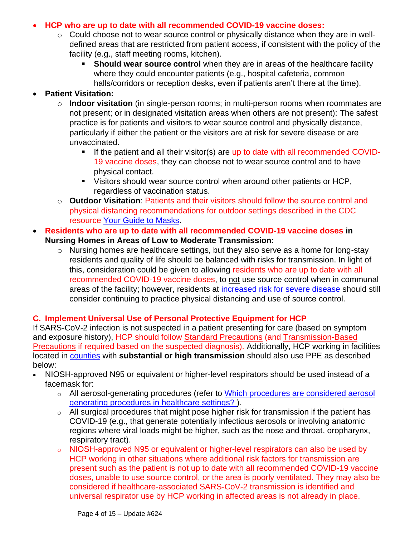### • **HCP who are up to date with all recommended COVID-19 vaccine doses:**

- o Could choose not to wear source control or physically distance when they are in welldefined areas that are restricted from patient access, if consistent with the policy of the facility (e.g., staff meeting rooms, kitchen).
	- **EXEDENT Should wear source control** when they are in areas of the healthcare facility where they could encounter patients (e.g., hospital cafeteria, common halls/corridors or reception desks, even if patients aren't there at the time).

## • **Patient Visitation:**

- o **Indoor visitation** (in single-person rooms; in multi-person rooms when roommates are not present; or in designated visitation areas when others are not present): The safest practice is for patients and visitors to wear source control and physically distance, particularly if either the patient or the visitors are at risk for severe disease or are unvaccinated.
	- If the patient and all their visitor(s) are up to date with all recommended COVID-19 vaccine doses, they can choose not to wear source control and to have physical contact.
	- Visitors should wear source control when around other patients or HCP, regardless of vaccination status.
- o **Outdoor Visitation**: Patients and their visitors should follow the source control and physical distancing recommendations for outdoor settings described in the CDC resource [Your Guide to Masks.](https://www.cdc.gov/coronavirus/2019-ncov/prevent-getting-sick/about-face-coverings.html)
- **Residents who are up to date with all recommended COVID-19 vaccine doses in Nursing Homes in Areas of Low to Moderate Transmission:**
	- o Nursing homes are healthcare settings, but they also serve as a home for long-stay residents and quality of life should be balanced with risks for transmission. In light of this, consideration could be given to allowing residents who are up to date with all recommended COVID-19 vaccine doses, to not use source control when in communal areas of the facility; however, residents at [increased risk for severe disease](https://www.cdc.gov/coronavirus/2019-ncov/need-extra-precautions/people-with-medical-conditions.html) should still consider continuing to practice physical distancing and use of source control.

# **C. Implement Universal Use of Personal Protective Equipment for HCP**

If SARS-CoV-2 infection is not suspected in a patient presenting for care (based on symptom and exposure history), HCP should follow [Standard Precautions](https://www.cdc.gov/hicpac/recommendations/core-practices.html) (and [Transmission-Based](https://www.cdc.gov/infectioncontrol/guidelines/isolation/index.html)  [Precautions](https://www.cdc.gov/infectioncontrol/guidelines/isolation/index.html) if required based on the suspected diagnosis). Additionally, HCP working in facilities located in [counties](https://covid.cdc.gov/covid-data-tracker/#county-view) with **substantial or high transmission** should also use PPE as described below:

- NIOSH-approved N95 or equivalent or higher-level respirators should be used instead of a facemask for:
	- o All aerosol-generating procedures (refer to [Which procedures are considered aerosol](https://www.cdc.gov/coronavirus/2019-ncov/hcp/faq.html#Infection-Control)  [generating procedures in healthcare](https://www.cdc.gov/coronavirus/2019-ncov/hcp/faq.html#Infection-Control) settings? ).
	- o All surgical procedures that might pose higher risk for transmission if the patient has COVID-19 (e.g., that generate potentially infectious aerosols or involving anatomic regions where viral loads might be higher, such as the nose and throat, oropharynx, respiratory tract).
	- o NIOSH-approved N95 or equivalent or higher-level respirators can also be used by HCP working in other situations where additional risk factors for transmission are present such as the patient is not up to date with all recommended COVID-19 vaccine doses, unable to use source control, or the area is poorly ventilated. They may also be considered if healthcare-associated SARS-CoV-2 transmission is identified and universal respirator use by HCP working in affected areas is not already in place.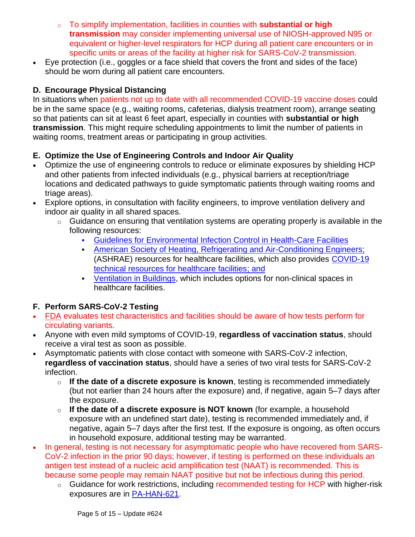- o To simplify implementation, facilities in counties with **substantial or high transmission** may consider implementing universal use of NIOSH-approved N95 or equivalent or higher-level respirators for HCP during all patient care encounters or in specific units or areas of the facility at higher risk for SARS-CoV-2 transmission.
- Eye protection (i.e., goggles or a face shield that covers the front and sides of the face) should be worn during all patient care encounters.

## **D. Encourage Physical Distancing**

In situations when patients not up to date with all recommended COVID-19 vaccine doses could be in the same space (e.g., waiting rooms, cafeterias, dialysis treatment room), arrange seating so that patients can sit at least 6 feet apart, especially in counties with **substantial or high transmission**. This might require scheduling appointments to limit the number of patients in waiting rooms, treatment areas or participating in group activities.

## **E. Optimize the Use of Engineering Controls and Indoor Air Quality**

- Optimize the use of engineering controls to reduce or eliminate exposures by shielding HCP and other patients from infected individuals (e.g., physical barriers at reception/triage locations and dedicated pathways to guide symptomatic patients through waiting rooms and triage areas).
- Explore options, in consultation with facility engineers, to improve ventilation delivery and indoor air quality in all shared spaces.
	- o Guidance on ensuring that ventilation systems are operating properly is available in the following resources:
		- [Guidelines for Environmental Infection Control in Health-Care Facilities](https://www.cdc.gov/infectioncontrol/guidelines/environmental/background/air.html)
		- **[American Society of Heating, Refrigerating and Air-Conditioning Engineers;](https://www.ashrae.org/technical-resources/bookstore/health-care-facilities-resources)** (ASHRAE) resources for healthcare facilities, which also provides [COVID-19](https://www.ashrae.org/technical-resources/healthcare)  [technical resources for healthcare facilities;](https://www.ashrae.org/technical-resources/healthcare) and
		- **EXECUTE:** [Ventilation in Buildings,](https://www.cdc.gov/coronavirus/2019-ncov/community/ventilation.html) which includes options for non-clinical spaces in healthcare facilities.

## **F. Perform SARS-CoV-2 Testing**

- [FDA](https://www.fda.gov/medical-devices/coronavirus-covid-19-and-medical-devices/sars-cov-2-viral-mutations-impact-covid-19-tests?utm_medium=email&utm_source=govdelivery) evaluates test characteristics and facilities should be aware of how tests perform for circulating variants.
- Anyone with even mild symptoms of COVID-19, **regardless of vaccination status**, should receive a viral test as soon as possible.
- Asymptomatic patients with close contact with someone with SARS-CoV-2 infection, **regardless of vaccination status**, should have a series of two viral tests for SARS-CoV-2 infection.
	- o **If the date of a discrete exposure is known**, testing is recommended immediately (but not earlier than 24 hours after the exposure) and, if negative, again 5–7 days after the exposure.
	- o **If the date of a discrete exposure is NOT known** (for example, a household exposure with an undefined start date), testing is recommended immediately and, if negative, again 5–7 days after the first test. If the exposure is ongoing, as often occurs in household exposure, additional testing may be warranted.
- In general, testing is not necessary for asymptomatic people who have recovered from SARS-CoV-2 infection in the prior 90 days; however, if testing is performed on these individuals an antigen test instead of a nucleic acid amplification test (NAAT) is recommended. This is because some people may remain NAAT positive but not be infectious during this period.
	- o Guidance for work restrictions, including recommended testing for HCP with higher-risk exposures are in [PA-HAN-621.](https://www.health.pa.gov/topics/Documents/HAN/2022-621-01-25-UPD-HCP%20restrictions.pdf)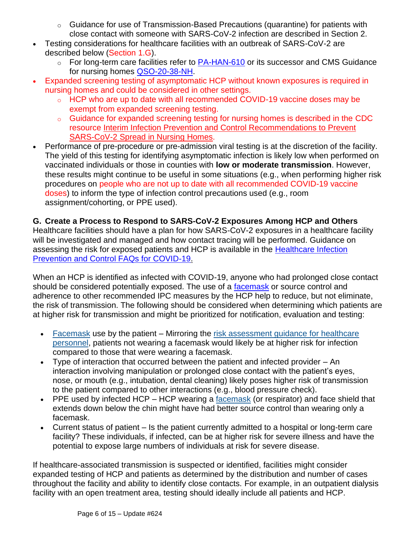- $\circ$  Guidance for use of Transmission-Based Precautions (quarantine) for patients with close contact with someone with SARS-CoV-2 infection are described in Section 2.
- Testing considerations for healthcare facilities with an outbreak of SARS-CoV-2 are described below (Section 1.G).
	- $\circ$  For long-term care facilities refer to [PA-HAN-610](https://www.health.pa.gov/topics/Documents/HAN/2021-610-11-30-UPD3-LTCF%20OB%20Response.pdf) or its successor and CMS Guidance for nursing homes [QSO-20-38-NH.](https://www.cms.gov/files/document/qso-20-38-nh-revised.pdf)
- Expanded screening testing of asymptomatic HCP without known exposures is required in nursing homes and could be considered in other settings.
	- o HCP who are up to date with all recommended COVID-19 vaccine doses may be exempt from expanded screening testing.
	- o Guidance for expanded screening testing for nursing homes is described in the CDC resource [Interim Infection Prevention and Control Recommendations to Prevent](https://www.cdc.gov/coronavirus/2019-ncov/hcp/long-term-care.html)  [SARS-CoV-2 Spread in Nursing Homes.](https://www.cdc.gov/coronavirus/2019-ncov/hcp/long-term-care.html)
- Performance of pre-procedure or pre-admission viral testing is at the discretion of the facility. The yield of this testing for identifying asymptomatic infection is likely low when performed on vaccinated individuals or those in counties with **low or moderate transmission**. However, these results might continue to be useful in some situations (e.g., when performing higher risk procedures on people who are not up to date with all recommended COVID-19 vaccine doses) to inform the type of infection control precautions used (e.g., room assignment/cohorting, or PPE used).

## **G. Create a Process to Respond to SARS-CoV-2 Exposures Among HCP and Others**

Healthcare facilities should have a plan for how SARS-CoV-2 exposures in a healthcare facility will be investigated and managed and how contact tracing will be performed. Guidance on assessing the risk for exposed patients and HCP is available in the Healthcare Infection [Prevention and Control FAQs for COVID-19.](https://www.cdc.gov/coronavirus/2019-ncov/hcp/faq.html#Infection-Control)

When an HCP is identified as infected with COVID-19, anyone who had prolonged close contact should be considered potentially exposed. The use of a [facemask](https://www.cdc.gov/coronavirus/2019-ncov/hcp/infection-control-recommendations.html#facemask) or source control and adherence to other recommended IPC measures by the HCP help to reduce, but not eliminate, the risk of transmission. The following should be considered when determining which patients are at higher risk for transmission and might be prioritized for notification, evaluation and testing:

- [Facemask](https://www.cdc.gov/coronavirus/2019-ncov/hcp/infection-control-recommendations.html#facemask) use by the patient Mirroring the [risk assessment guidance for healthcare](https://www.cdc.gov/coronavirus/2019-ncov/hcp/guidance-risk-assesment-hcp.html)  [personnel,](https://www.cdc.gov/coronavirus/2019-ncov/hcp/guidance-risk-assesment-hcp.html) patients not wearing a facemask would likely be at higher risk for infection compared to those that were wearing a facemask.
- Type of interaction that occurred between the patient and infected provider An interaction involving manipulation or prolonged close contact with the patient's eyes, nose, or mouth (e.g., intubation, dental cleaning) likely poses higher risk of transmission to the patient compared to other interactions (e.g., blood pressure check).
- PPE used by infected HCP HCP wearing a [facemask](https://www.cdc.gov/coronavirus/2019-ncov/hcp/infection-control-recommendations.html#facemask) (or respirator) and face shield that extends down below the chin might have had better source control than wearing only a facemask.
- Current status of patient Is the patient currently admitted to a hospital or long-term care facility? These individuals, if infected, can be at higher risk for severe illness and have the potential to expose large numbers of individuals at risk for severe disease.

If healthcare-associated transmission is suspected or identified, facilities might consider expanded testing of HCP and patients as determined by the distribution and number of cases throughout the facility and ability to identify close contacts. For example, in an outpatient dialysis facility with an open treatment area, testing should ideally include all patients and HCP.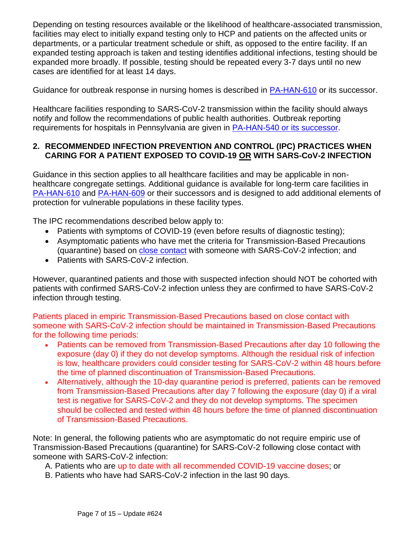Depending on testing resources available or the likelihood of healthcare-associated transmission, facilities may elect to initially expand testing only to HCP and patients on the affected units or departments, or a particular treatment schedule or shift, as opposed to the entire facility. If an expanded testing approach is taken and testing identifies additional infections, testing should be expanded more broadly. If possible, testing should be repeated every 3-7 days until no new cases are identified for at least 14 days.

Guidance for outbreak response in nursing homes is described in [PA-HAN-610](https://www.health.pa.gov/topics/Documents/HAN/2021-610-11-30-UPD3-LTCF%20OB%20Response.pdf) or its successor.

Healthcare facilities responding to SARS-CoV-2 transmission within the facility should always notify and follow the recommendations of public health authorities. Outbreak reporting requirements for hospitals in Pennsylvania are given in [PA-HAN-540](https://www.health.pa.gov/topics/Documents/HAN/2020-PAHAN-540-12-9-HOSPITAL%20OUTBREA.pdf) or its successor.

## **2. RECOMMENDED INFECTION PREVENTION AND CONTROL (IPC) PRACTICES WHEN CARING FOR A PATIENT EXPOSED TO COVID-19 OR WITH SARS-CoV-2 INFECTION**

Guidance in this section applies to all healthcare facilities and may be applicable in nonhealthcare congregate settings. Additional guidance is available for long-term care facilities in [PA-HAN-610](https://www.health.pa.gov/topics/Documents/HAN/2021-610-11-30-UPD3-LTCF%20OB%20Response.pdf) and [PA-HAN-609](https://www.health.pa.gov/topics/Documents/HAN/2021-609-11-30-UPD3-Core%20Prevention.pdf) or their successors and is designed to add additional elements of protection for vulnerable populations in these facility types.

The IPC recommendations described below apply to:

- Patients with symptoms of COVID-19 (even before results of diagnostic testing);
- Asymptomatic patients who have met the criteria for Transmission-Based Precautions (quarantine) based on [close contact](https://www.cdc.gov/coronavirus/2019-ncov/hcp/infection-control-recommendations.html#closecontact) with someone with SARS-CoV-2 infection; and
- Patients with SARS-CoV-2 infection.

However, quarantined patients and those with suspected infection should NOT be cohorted with patients with confirmed SARS-CoV-2 infection unless they are confirmed to have SARS-CoV-2 infection through testing.

Patients placed in empiric Transmission-Based Precautions based on close contact with someone with SARS-CoV-2 infection should be maintained in Transmission-Based Precautions for the following time periods:

- Patients can be removed from Transmission-Based Precautions after day 10 following the exposure (day 0) if they do not develop symptoms. Although the residual risk of infection is low, healthcare providers could consider testing for SARS-CoV-2 within 48 hours before the time of planned discontinuation of Transmission-Based Precautions.
- Alternatively, although the 10-day quarantine period is preferred, patients can be removed from Transmission-Based Precautions after day 7 following the exposure (day 0) if a viral test is negative for SARS-CoV-2 and they do not develop symptoms. The specimen should be collected and tested within 48 hours before the time of planned discontinuation of Transmission-Based Precautions.

Note: In general, the following patients who are asymptomatic do not require empiric use of Transmission-Based Precautions (quarantine) for SARS-CoV-2 following close contact with someone with SARS-CoV-2 infection:

A. Patients who are up to date with all recommended COVID-19 vaccine doses; or

B. Patients who have had SARS-CoV-2 infection in the last 90 days.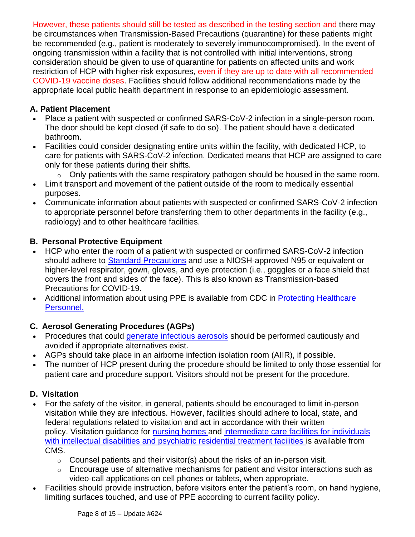However, these patients should still be tested as described in the testing section and there may be circumstances when Transmission-Based Precautions (quarantine) for these patients might be recommended (e.g., patient is moderately to severely immunocompromised). In the event of ongoing transmission within a facility that is not controlled with initial interventions, strong consideration should be given to use of quarantine for patients on affected units and work restriction of HCP with higher-risk exposures, even if they are up to date with all recommended COVID-19 vaccine doses. Facilities should follow additional recommendations made by the appropriate local public health department in response to an epidemiologic assessment.

## **A. Patient Placement**

- Place a patient with suspected or confirmed SARS-CoV-2 infection in a single-person room. The door should be kept closed (if safe to do so). The patient should have a dedicated bathroom.
- Facilities could consider designating entire units within the facility, with dedicated HCP, to care for patients with SARS-CoV-2 infection. Dedicated means that HCP are assigned to care only for these patients during their shifts.
	- o Only patients with the same respiratory pathogen should be housed in the same room.
- Limit transport and movement of the patient outside of the room to medically essential purposes.
- Communicate information about patients with suspected or confirmed SARS-CoV-2 infection to appropriate personnel before transferring them to other departments in the facility (e.g., radiology) and to other healthcare facilities.

## **B. Personal Protective Equipment**

- HCP who enter the room of a patient with suspected or confirmed SARS-CoV-2 infection should adhere to [Standard Precautions](https://www.cdc.gov/hicpac/recommendations/core-practices.html) and use a NIOSH-approved N95 or equivalent or higher-level respirator, gown, gloves, and eye protection (i.e., goggles or a face shield that covers the front and sides of the face). This is also known as Transmission-based Precautions for COVID-19.
- Additional information about using PPE is available from CDC in Protecting Healthcare [Personnel.](https://www.cdc.gov/hai/prevent/ppe.html)

# **C. Aerosol Generating Procedures (AGPs)**

- Procedures that could [generate infectious aerosols](https://www.cdc.gov/coronavirus/2019-ncov/hcp/faq.html#Infection-Control) should be performed cautiously and avoided if appropriate alternatives exist.
- AGPs should take place in an airborne infection isolation room (AIIR), if possible.
- The number of HCP present during the procedure should be limited to only those essential for patient care and procedure support. Visitors should not be present for the procedure.

# **D. Visitation**

- For the safety of the visitor, in general, patients should be encouraged to limit in-person visitation while they are infectious. However, facilities should adhere to local, state, and federal regulations related to visitation and act in accordance with their written policy. Visitation guidance for [nursing homes](https://www.cms.gov/medicareprovider-enrollment-and-certificationsurveycertificationgeninfopolicy-and-memos-states-and/nursing-home-visitation-covid-19-revised) and [intermediate care facilities for individuals](https://www.cms.gov/files/document/qso-21-14-icf-iid-prtf.pdf)  [with intellectual disabilities and psychiatric residential treatment facilities](https://www.cms.gov/files/document/qso-21-14-icf-iid-prtf.pdf) is available from CMS.
	- o Counsel patients and their visitor(s) about the risks of an in-person visit.
	- $\circ$  Encourage use of alternative mechanisms for patient and visitor interactions such as video-call applications on cell phones or tablets, when appropriate.
- Facilities should provide instruction, before visitors enter the patient's room, on hand hygiene, limiting surfaces touched, and use of PPE according to current facility policy.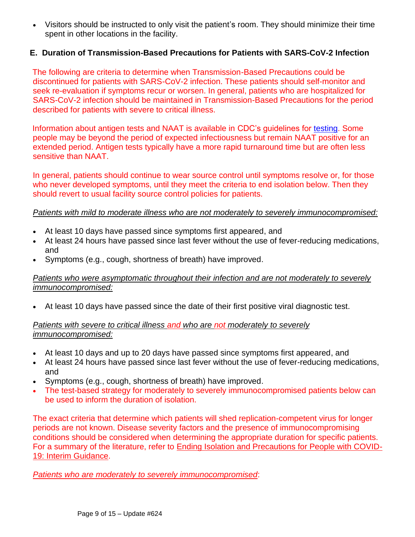• Visitors should be instructed to only visit the patient's room. They should minimize their time spent in other locations in the facility.

### **E. Duration of Transmission-Based Precautions for Patients with SARS-CoV-2 Infection**

The following are criteria to determine when Transmission-Based Precautions could be discontinued for patients with SARS-CoV-2 infection. These patients should self-monitor and seek re-evaluation if symptoms recur or worsen. In general, patients who are hospitalized for SARS-CoV-2 infection should be maintained in Transmission-Based Precautions for the period described for patients with severe to critical illness.

Information about antigen tests and NAAT is available in CDC's guidelines for [testing.](https://www.cdc.gov/coronavirus/2019-ncov/lab/testing/index.html) Some people may be beyond the period of expected infectiousness but remain NAAT positive for an extended period. Antigen tests typically have a more rapid turnaround time but are often less sensitive than NAAT.

In general, patients should continue to wear source control until symptoms resolve or, for those who never developed symptoms, until they meet the criteria to end isolation below. Then they should revert to usual facility source control policies for patients.

#### *Patients with mild to moderate illness who are not moderately to severely immunocompromised:*

- At least 10 days have passed since symptoms first appeared, and
- At least 24 hours have passed since last fever without the use of fever-reducing medications, and
- Symptoms (e.g., cough, shortness of breath) have improved.

### *Patients who were asymptomatic throughout their infection and are not moderately to severely immunocompromised:*

• At least 10 days have passed since the date of their first positive viral diagnostic test.

### *Patients with severe to critical illness and who are not moderately to severely immunocompromised:*

- At least 10 days and up to 20 days have passed since symptoms first appeared, and
- At least 24 hours have passed since last fever without the use of fever-reducing medications, and
- Symptoms (e.g., cough, shortness of breath) have improved.
- The test-based strategy for moderately to severely immunocompromised patients below can be used to inform the duration of isolation.

The exact criteria that determine which patients will shed replication-competent virus for longer periods are not known. Disease severity factors and the presence of immunocompromising conditions should be considered when determining the appropriate duration for specific patients. For a summary of the literature, refer to [Ending Isolation and Precautions for People with COVID-](https://www.cdc.gov/coronavirus/2019-ncov/hcp/duration-isolation.html)[19: Interim Guidance.](https://www.cdc.gov/coronavirus/2019-ncov/hcp/duration-isolation.html)

*Patients who are [moderately to severely immunocompromised](https://www.cdc.gov/coronavirus/2019-ncov/hcp/infection-control-recommendations.html#immunocompromised)*: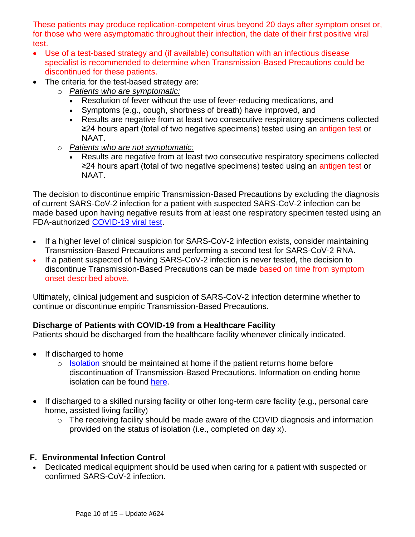These patients may produce replication-competent virus beyond 20 days after symptom onset or, for those who were asymptomatic throughout their infection, the date of their first positive viral test.

- Use of a test-based strategy and (if available) consultation with an infectious disease specialist is recommended to determine when Transmission-Based Precautions could be discontinued for these patients.
- The criteria for the test-based strategy are:
	- o *Patients who are symptomatic:*
		- Resolution of fever without the use of fever-reducing medications, and
		- Symptoms (e.g., cough, shortness of breath) have improved, and
		- Results are negative from at least two consecutive respiratory specimens collected ≥24 hours apart (total of two negative specimens) tested using an antigen test or NAAT.
	- o *Patients who are not symptomatic:*
		- Results are negative from at least two consecutive respiratory specimens collected ≥24 hours apart (total of two negative specimens) tested using an antigen test or NAAT.

The decision to discontinue empiric Transmission-Based Precautions by excluding the diagnosis of current SARS-CoV-2 infection for a patient with suspected SARS-CoV-2 infection can be made based upon having negative results from at least one respiratory specimen tested using an FDA-authorized [COVID-19 viral test.](https://www.cdc.gov/coronavirus/2019-ncov/hcp/testing-overview.html)

- If a higher level of clinical suspicion for SARS-CoV-2 infection exists, consider maintaining Transmission-Based Precautions and performing a second test for SARS-CoV-2 RNA.
- If a patient suspected of having SARS-CoV-2 infection is never tested, the decision to discontinue Transmission-Based Precautions can be made based on time from symptom onset described above.

Ultimately, clinical judgement and suspicion of SARS-CoV-2 infection determine whether to continue or discontinue empiric Transmission-Based Precautions.

# **Discharge of Patients with COVID-19 from a Healthcare Facility**

Patients should be discharged from the healthcare facility whenever clinically indicated.

- If discharged to home
	- o [Isolation](https://www.cdc.gov/coronavirus/2019-ncov/your-health/quarantine-isolation.html) should be maintained at home if the patient returns home before discontinuation of Transmission-Based Precautions. Information on ending home isolation can be found [here.](https://www.cdc.gov/coronavirus/2019-ncov/hcp/disposition-in-home-patients.html)
- If discharged to a skilled nursing facility or other long-term care facility (e.g., personal care home, assisted living facility)
	- o The receiving facility should be made aware of the COVID diagnosis and information provided on the status of isolation (i.e., completed on day x).

## **F. Environmental Infection Control**

• Dedicated medical equipment should be used when caring for a patient with suspected or confirmed SARS-CoV-2 infection.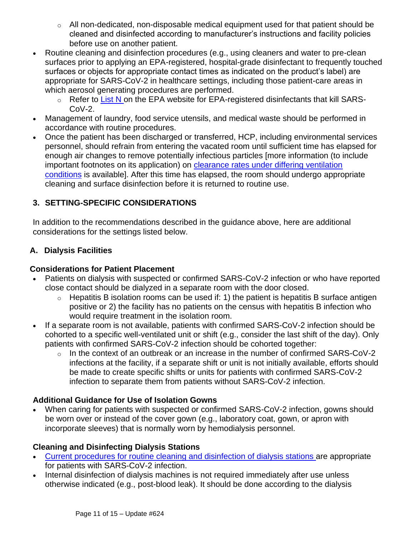- $\circ$  All non-dedicated, non-disposable medical equipment used for that patient should be cleaned and disinfected according to manufacturer's instructions and facility policies before use on another patient.
- Routine cleaning and disinfection procedures (e.g., using cleaners and water to pre-clean surfaces prior to applying an EPA-registered, hospital-grade disinfectant to frequently touched surfaces or objects for appropriate contact times as indicated on the product's label) are appropriate for SARS-CoV-2 in healthcare settings, including those patient-care areas in which aerosol generating procedures are performed.
	- $\circ$  Refer to [List N](https://www.epa.gov/coronavirus/about-list-n-disinfectants-coronavirus-covid-19-0) on the EPA website for EPA-registered disinfectants that kill SARS-CoV-2.
- Management of laundry, food service utensils, and medical waste should be performed in accordance with routine procedures.
- Once the patient has been discharged or transferred, HCP, including environmental services personnel, should refrain from entering the vacated room until sufficient time has elapsed for enough air changes to remove potentially infectious particles [more information (to include important footnotes on its application) on [clearance rates under differing ventilation](https://www.cdc.gov/infectioncontrol/guidelines/environmental/appendix/air.html#tableb1)  [conditions](https://www.cdc.gov/infectioncontrol/guidelines/environmental/appendix/air.html#tableb1) is available]. After this time has elapsed, the room should undergo appropriate cleaning and surface disinfection before it is returned to routine use.

# **3. SETTING-SPECIFIC CONSIDERATIONS**

In addition to the recommendations described in the guidance above, here are additional considerations for the settings listed below.

## **A. Dialysis Facilities**

## **Considerations for Patient Placement**

- Patients on dialysis with suspected or confirmed SARS-CoV-2 infection or who have reported close contact should be dialyzed in a separate room with the door closed.
	- $\circ$  Hepatitis B isolation rooms can be used if: 1) the patient is hepatitis B surface antigen positive or 2) the facility has no patients on the census with hepatitis B infection who would require treatment in the isolation room.
- If a separate room is not available, patients with confirmed SARS-CoV-2 infection should be cohorted to a specific well-ventilated unit or shift (e.g., consider the last shift of the day). Only patients with confirmed SARS-CoV-2 infection should be cohorted together:
	- o In the context of an outbreak or an increase in the number of confirmed SARS-CoV-2 infections at the facility, if a separate shift or unit is not initially available, efforts should be made to create specific shifts or units for patients with confirmed SARS-CoV-2 infection to separate them from patients without SARS-CoV-2 infection.

# **Additional Guidance for Use of Isolation Gowns**

• When caring for patients with suspected or confirmed SARS-CoV-2 infection, gowns should be worn over or instead of the cover gown (e.g., laboratory coat, gown, or apron with incorporate sleeves) that is normally worn by hemodialysis personnel.

## **Cleaning and Disinfecting Dialysis Stations**

- [Current procedures for routine cleaning and disinfection of dialysis stations](https://www.cdc.gov/dialysis/PDFs/collaborative/Env_notes_Feb13.pdf) are appropriate for patients with SARS-CoV-2 infection.
- Internal disinfection of dialysis machines is not required immediately after use unless otherwise indicated (e.g., post-blood leak). It should be done according to the dialysis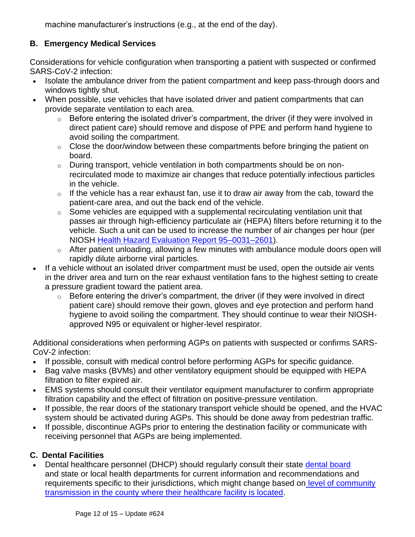machine manufacturer's instructions (e.g., at the end of the day).

## **B. Emergency Medical Services**

Considerations for vehicle configuration when transporting a patient with suspected or confirmed SARS-CoV-2 infection:

- Isolate the ambulance driver from the patient compartment and keep pass-through doors and windows tightly shut.
- When possible, use vehicles that have isolated driver and patient compartments that can provide separate ventilation to each area.
	- $\circ$  Before entering the isolated driver's compartment, the driver (if they were involved in direct patient care) should remove and dispose of PPE and perform hand hygiene to avoid soiling the compartment.
	- o Close the door/window between these compartments before bringing the patient on board.
	- $\circ$  During transport, vehicle ventilation in both compartments should be on nonrecirculated mode to maximize air changes that reduce potentially infectious particles in the vehicle.
	- $\circ$  If the vehicle has a rear exhaust fan, use it to draw air away from the cab, toward the patient-care area, and out the back end of the vehicle.
	- $\circ$  Some vehicles are equipped with a supplemental recirculating ventilation unit that passes air through high-efficiency particulate air (HEPA) filters before returning it to the vehicle. Such a unit can be used to increase the number of air changes per hour (per NIOSH [Health Hazard Evaluation Report 95–0031–2601\)](https://www.cdc.gov/niosh/docs/2020-119/pdfs/2020-119.pdf?id=10.26616/NIOSHPUB2020119).
	- o After patient unloading, allowing a few minutes with ambulance module doors open will rapidly dilute airborne viral particles.
- If a vehicle without an isolated driver compartment must be used, open the outside air vents in the driver area and turn on the rear exhaust ventilation fans to the highest setting to create a pressure gradient toward the patient area.
	- $\circ$  Before entering the driver's compartment, the driver (if they were involved in direct patient care) should remove their gown, gloves and eye protection and perform hand hygiene to avoid soiling the compartment. They should continue to wear their NIOSHapproved N95 or equivalent or higher-level respirator.

Additional considerations when performing AGPs on patients with suspected or confirms SARS-CoV-2 infection:

- If possible, consult with medical control before performing AGPs for specific guidance.
- Bag valve masks (BVMs) and other ventilatory equipment should be equipped with HEPA filtration to filter expired air.
- EMS systems should consult their ventilator equipment manufacturer to confirm appropriate filtration capability and the effect of filtration on positive-pressure ventilation.
- If possible, the rear doors of the stationary transport vehicle should be opened, and the HVAC system should be activated during AGPs. This should be done away from pedestrian traffic.
- If possible, discontinue AGPs prior to entering the destination facility or communicate with receiving personnel that AGPs are being implemented.

# **C. Dental Facilities**

• Dental healthcare personnel (DHCP) should regularly consult their state [dental board](https://www.dentalboards.org/state-dental-board-list) and state or local health departments for current information and recommendations and requirements specific to their jurisdictions, which might change based on [level of community](https://covid.cdc.gov/covid-data-tracker/#county-view)  [transmission in the county where their healthcare facility is located.](https://covid.cdc.gov/covid-data-tracker/#county-view)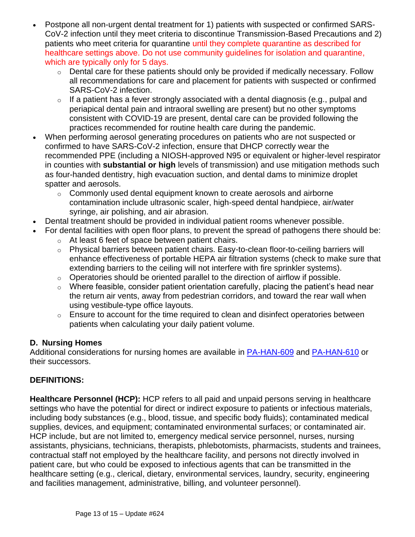- Postpone all non-urgent dental treatment for 1) patients with suspected or confirmed SARS-CoV-2 infection until they meet criteria to discontinue Transmission-Based Precautions and 2) patients who meet criteria for quarantine until they complete quarantine as described for healthcare settings above. Do not use community guidelines for isolation and quarantine, which are typically only for 5 days.
	- o Dental care for these patients should only be provided if medically necessary. Follow all recommendations for care and placement for patients with suspected or confirmed SARS-CoV-2 infection.
	- $\circ$  If a patient has a fever strongly associated with a dental diagnosis (e.g., pulpal and periapical dental pain and intraoral swelling are present) but no other symptoms consistent with COVID-19 are present, dental care can be provided following the practices recommended for routine health care during the pandemic.
- When performing aerosol generating procedures on patients who are not suspected or confirmed to have SARS-CoV-2 infection, ensure that DHCP correctly wear the recommended PPE (including a NIOSH-approved N95 or equivalent or higher-level respirator in counties with **substantial or high** levels of transmission) and use mitigation methods such as four-handed dentistry, high evacuation suction, and dental dams to minimize droplet spatter and aerosols.
	- o Commonly used dental equipment known to create aerosols and airborne contamination include ultrasonic scaler, high-speed dental handpiece, air/water syringe, air polishing, and air abrasion.
- Dental treatment should be provided in individual patient rooms whenever possible.
- For dental facilities with open floor plans, to prevent the spread of pathogens there should be:
	- o At least 6 feet of space between patient chairs.
	- $\circ$  Physical barriers between patient chairs. Easy-to-clean floor-to-ceiling barriers will enhance effectiveness of portable HEPA air filtration systems (check to make sure that extending barriers to the ceiling will not interfere with fire sprinkler systems).
	- $\circ$  Operatories should be oriented parallel to the direction of airflow if possible.
	- $\circ$  Where feasible, consider patient orientation carefully, placing the patient's head near the return air vents, away from pedestrian corridors, and toward the rear wall when using vestibule-type office layouts.
	- $\circ$  Ensure to account for the time required to clean and disinfect operatories between patients when calculating your daily patient volume.

### **D. Nursing Homes**

Additional considerations for nursing homes are available in [PA-HAN-609](https://www.health.pa.gov/topics/Documents/HAN/2021-609-11-30-UPD3-Core%20Prevention.pdf) and [PA-HAN-610](https://www.health.pa.gov/topics/Documents/HAN/2021-610-11-30-UPD3-LTCF%20OB%20Response.pdf) or their successors.

## **DEFINITIONS:**

**Healthcare Personnel (HCP):** HCP refers to all paid and unpaid persons serving in healthcare settings who have the potential for direct or indirect exposure to patients or infectious materials, including body substances (e.g., blood, tissue, and specific body fluids); contaminated medical supplies, devices, and equipment; contaminated environmental surfaces; or contaminated air. HCP include, but are not limited to, emergency medical service personnel, nurses, nursing assistants, physicians, technicians, therapists, phlebotomists, pharmacists, students and trainees, contractual staff not employed by the healthcare facility, and persons not directly involved in patient care, but who could be exposed to infectious agents that can be transmitted in the healthcare setting (e.g., clerical, dietary, environmental services, laundry, security, engineering and facilities management, administrative, billing, and volunteer personnel).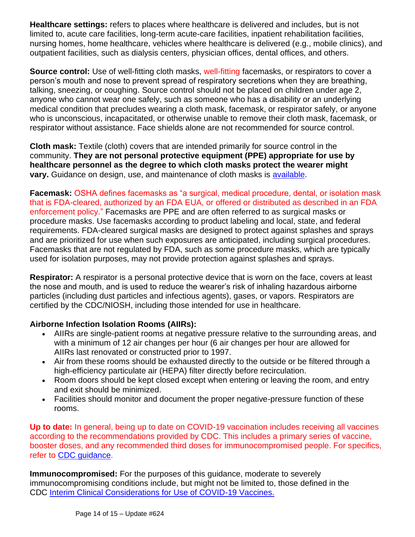**Healthcare settings:** refers to places where healthcare is delivered and includes, but is not limited to, acute care facilities, long-term acute-care facilities, inpatient rehabilitation facilities, nursing homes, home healthcare, vehicles where healthcare is delivered (e.g., mobile clinics), and outpatient facilities, such as dialysis centers, physician offices, dental offices, and others.

**Source control:** Use of well-fitting cloth masks, well-fitting facemasks, or respirators to cover a person's mouth and nose to prevent spread of respiratory secretions when they are breathing, talking, sneezing, or coughing. Source control should not be placed on children under age 2, anyone who cannot wear one safely, such as someone who has a disability or an underlying medical condition that precludes wearing a cloth mask, facemask, or respirator safely, or anyone who is unconscious, incapacitated, or otherwise unable to remove their cloth mask, facemask, or respirator without assistance. Face shields alone are not recommended for source control.

**Cloth mask:** Textile (cloth) covers that are intended primarily for source control in the community. **They are not personal protective equipment (PPE) appropriate for use by healthcare personnel as the degree to which cloth masks protect the wearer might vary.** Guidance on design, use, and maintenance of cloth masks is [available.](https://www.cdc.gov/coronavirus/2019-ncov/prevent-getting-sick/diy-cloth-face-coverings.html)

**Facemask:** OSHA defines facemasks as "a surgical, medical procedure, dental, or isolation mask that is FDA-cleared, authorized by an FDA EUA, or offered or distributed as described in an FDA enforcement policy." Facemasks are PPE and are often referred to as surgical masks or procedure masks. Use facemasks according to product labeling and local, state, and federal requirements. FDA-cleared surgical masks are designed to protect against splashes and sprays and are prioritized for use when such exposures are anticipated, including surgical procedures. Facemasks that are not regulated by FDA, such as some procedure masks, which are typically used for isolation purposes, may not provide protection against splashes and sprays.

**Respirator:** A respirator is a personal protective device that is worn on the face, covers at least the nose and mouth, and is used to reduce the wearer's risk of inhaling hazardous airborne particles (including dust particles and infectious agents), gases, or vapors. Respirators are certified by the CDC/NIOSH, including those intended for use in healthcare.

## **Airborne Infection Isolation Rooms (AIIRs):**

- AIIRs are single-patient rooms at negative pressure relative to the surrounding areas, and with a minimum of 12 air changes per hour (6 air changes per hour are allowed for AIIRs last renovated or constructed prior to 1997.
- Air from these rooms should be exhausted directly to the outside or be filtered through a high-efficiency particulate air (HEPA) filter directly before recirculation.
- Room doors should be kept closed except when entering or leaving the room, and entry and exit should be minimized.
- Facilities should monitor and document the proper negative-pressure function of these rooms.

**Up to date:** In general, being up to date on COVID-19 vaccination includes receiving all vaccines according to the recommendations provided by CDC. This includes a primary series of vaccine, booster doses, and any recommended third doses for immunocompromised people. For specifics, refer to [CDC guidance.](https://www.cdc.gov/coronavirus/2019-ncov/vaccines/stay-up-to-date.html#:~:text=As%20with%20vaccines%20for%20other,a%20booster%20dose%20when%20eligible.)

**Immunocompromised:** For the purposes of this guidance, moderate to severely immunocompromising conditions include, but might not be limited to, those defined in the CDC [Interim Clinical Considerations for Use of COVID-19 Vaccines.](https://www.cdc.gov/vaccines/covid-19/clinical-considerations/covid-19-vaccines-us.html?CDC_AA_refVal=https%3A%2F%2Fwww.cdc.gov%2Fvaccines%2Fcovid-19%2Finfo-by-product%2Fclinical-considerations.html)